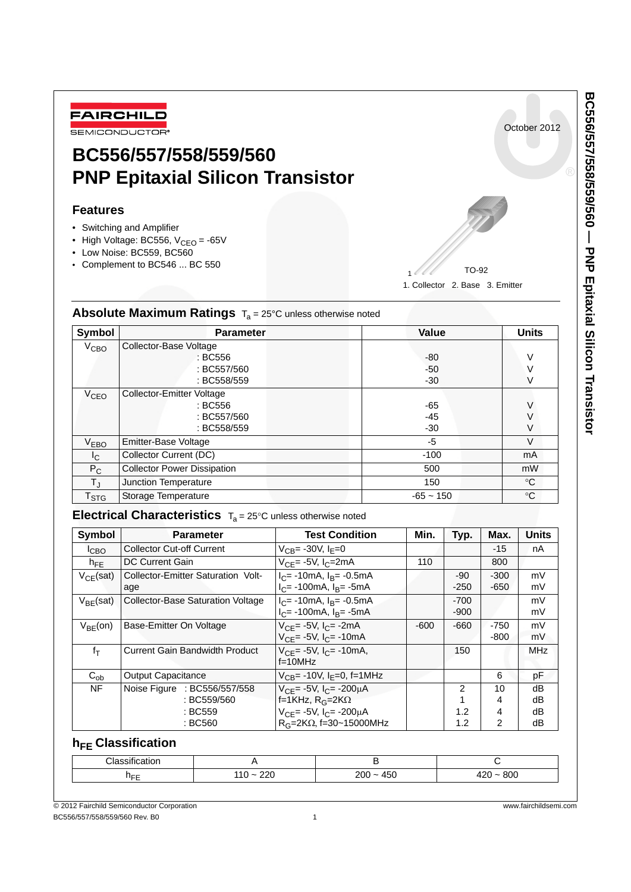

# **BC556/557/558/559/560 PNP Epitaxial Silicon Transistor**

### **Features**

- Switching and Amplifier
- High Voltage: BC556,  $V_{CEO} = -65V$
- Low Noise: BC559, BC560
- Complement to BC546 ... BC 550

1. Collector 2. Base 3. Emitter TO-92 1

| Symbol                      | <b>Parameter</b>                   | Value       | <b>Units</b>    |
|-----------------------------|------------------------------------|-------------|-----------------|
| V <sub>CBO</sub>            | Collector-Base Voltage             |             |                 |
|                             | : BC556                            | $-80$       | V               |
|                             | : BC557/560                        | -50         |                 |
|                             | : BC558/559                        | $-30$       |                 |
| V <sub>CEO</sub>            | <b>Collector-Emitter Voltage</b>   |             |                 |
|                             | : BC556                            | -65         | V               |
|                             | : BC557/560                        | $-45$       |                 |
|                             | : BC558/559                        | $-30$       | V               |
| $V_{EBO}$                   | Emitter-Base Voltage               | $-5$        | $\vee$          |
| I <sub>C</sub>              | Collector Current (DC)             | $-100$      | mA              |
| $P_C$                       | <b>Collector Power Dissipation</b> | 500         | mW              |
| $T_{\rm J}$                 | Junction Temperature               | 150         | $^{\circ}C$     |
| $\mathsf{T}_{\textsf{STG}}$ | Storage Temperature                | $-65 - 150$ | $\rm ^{\circ}C$ |

### Absolute Maximum Ratings T<sub>a</sub> = 25°C unless otherwise noted

### Electrical Characteristics  $T_a = 25^\circ C$  unless otherwise noted

| Symbol          | <b>Parameter</b>                                       | <b>Test Condition</b>                                                                          | Min.   | Typ.             | Max.             | <b>Units</b>   |
|-----------------|--------------------------------------------------------|------------------------------------------------------------------------------------------------|--------|------------------|------------------|----------------|
| Iсво            | <b>Collector Cut-off Current</b>                       | $V_{CR}$ = -30V, I <sub>F</sub> =0                                                             |        |                  | $-15$            | nA             |
| $h_{\text{FF}}$ | DC Current Gain                                        | $V_{CF}$ = -5V, I <sub>C</sub> =2mA                                                            | 110    |                  | 800              |                |
| $V_{CE}$ (sat)  | Collector-Emitter Saturation Volt-<br>age              | $I_C$ = -10mA, $I_B$ = -0.5mA<br>$I_C$ = -100mA, $I_B$ = -5mA                                  |        | -90<br>$-250$    | $-300$<br>$-650$ | mV<br>mV       |
| $V_{BF}$ (sat)  | <b>Collector-Base Saturation Voltage</b>               | $I_C$ = -10mA, $I_B$ = -0.5mA<br>$I_C$ = -100mA, $I_B$ = -5mA                                  |        | $-700$<br>$-900$ |                  | mV<br>mV       |
| $V_{BF}(on)$    | Base-Emitter On Voltage                                | $V_{CF}$ = -5V, I <sub>C</sub> = -2mA<br>$V_{CF}$ = -5V, $I_{C}$ = -10mA                       | $-600$ | $-660$           | $-750$<br>$-800$ | mV<br>mV       |
| $f_T$           | Current Gain Bandwidth Product                         | $V_{CF}$ = -5V, $I_{C}$ = -10mA,<br>$f=10MHz$                                                  |        | 150              |                  | MHz            |
| $C_{ob}$        | Output Capacitance                                     | $V_{CB}$ = -10V, I <sub>F</sub> =0, f=1MHz                                                     |        |                  | 6                | рF             |
| NF              | Noise Figure : BC556/557/558<br>: BC559/560<br>: BC559 | $V_{CF}$ = -5V, $I_{C}$ = -200µA<br>f=1KHz, $R_G=2K\Omega$<br>$V_{CF}$ = -5V, $I_{C}$ = -200µA |        | 2<br>1.2         | 10<br>4<br>4     | dB<br>dB<br>dB |
|                 | : BC560                                                | $R_G = 2K\Omega$ , f=30~15000MHz                                                               |        | 1.2              | $\mathfrak{p}$   | dB             |

## **h<sub>FE</sub>** Classification

|                                  |                                            | $\cdot$ .<br>$\sim$<br>uon<br>a:ار | - |  |
|----------------------------------|--------------------------------------------|------------------------------------|---|--|
| ت عام ا<br>$\tilde{\phantom{a}}$ | 220<br>800<br>450<br>200<br>៱ົດ<br>.<br>T4 |                                    |   |  |

October 2012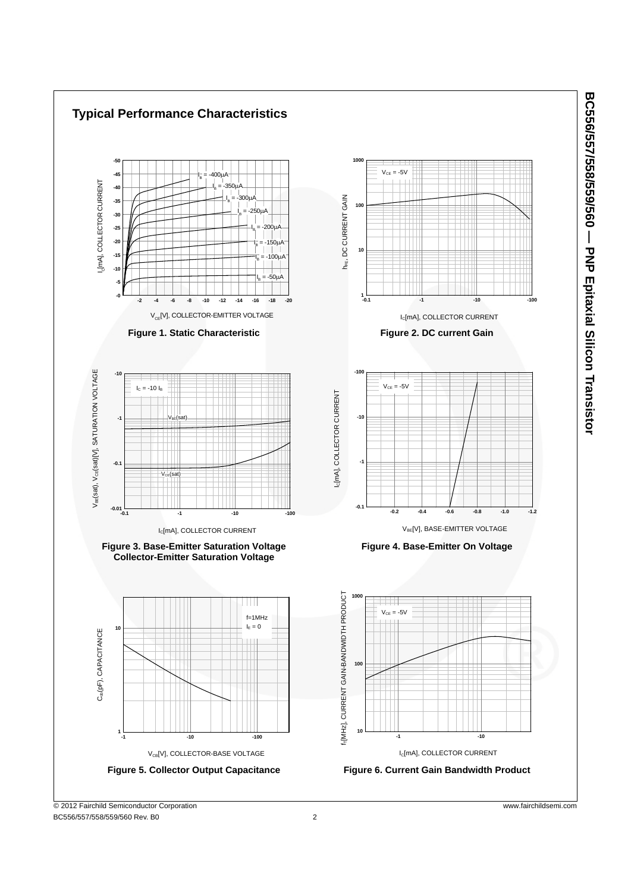

BC556/557/558/559/560 Rev. B0 2

**BC556/557/558/559/560 — PNP Epitaxial Silicon Transistor**

BC556/557/558/559/600 - PNP Epitaxial Silicon Transistor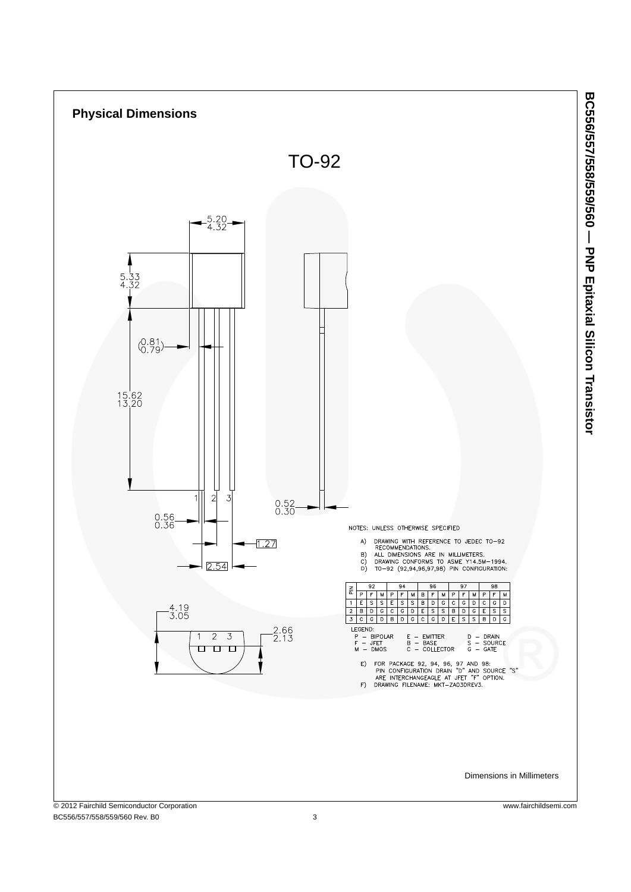

BC556/557/558/559/560 Rev. B0 3